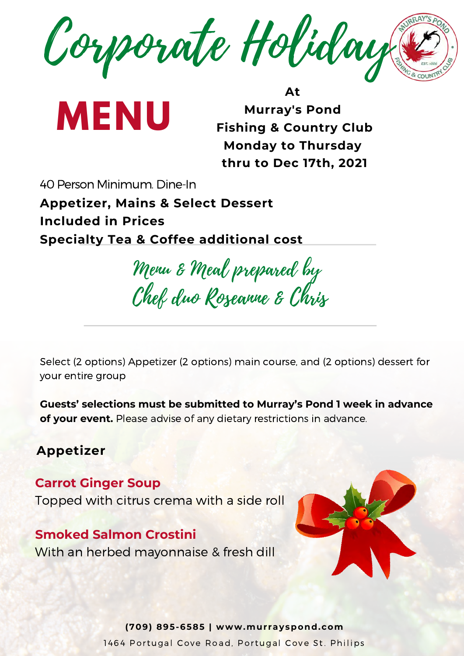Corporate Holiday

**MENU**

**At Murray's Pond Fishing & Country Club Monday to Thursday thru to Dec 17th, 2021**

40 Person Minimum. Dine-In **Appetizer, Mains & Select Dessert Included in Prices Specialty Tea & Coffee additional cost**

Menu & Meal prepared by Chef duo Roseanne & Chris

Select (2 options) Appetizer (2 options) main course, and (2 options) dessert for your entire group

**Guests' selections must be submitted to Murray's Pond 1 week in advance of your event.** Please advise of any dietary restrictions in advance.

#### **Appetizer**

**Carrot Ginger Soup** Topped with citrus crema with a side roll

**Smoked Salmon Crostini** With an herbed mayonnaise & fresh dill



**(709) 895-6585 | www.murrayspond.com** 1464 Portugal Cove Road, Portugal Cove St. Philips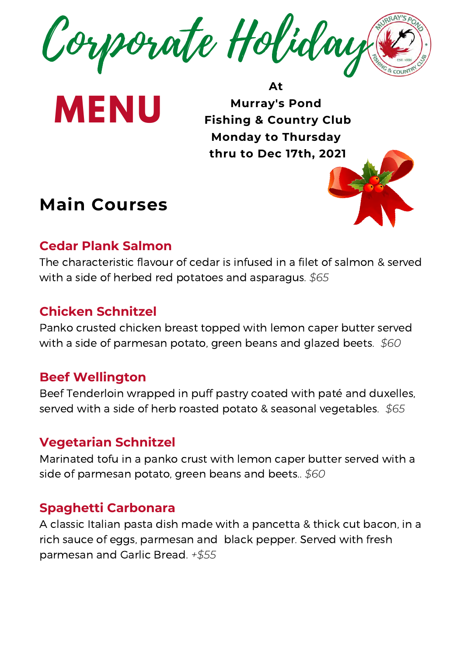

**MENU**

**At Murray's Pond Fishing & Country Club Monday to Thursday thru to Dec 17th, 2021**

# **Main Courses**



## **Cedar Plank Salmon**

The characteristic flavour of cedar is infused in a filet of salmon & served with a side of herbed red potatoes and asparagus. *\$65*

#### **Chicken Schnitzel**

Panko crusted chicken breast topped with lemon caper butter served with a side of parmesan potato, green beans and glazed beets. *\$60*

#### **Beef Wellington**

Beef Tenderloin wrapped in puff pastry coated with paté and duxelles, served with a side of herb roasted potato & seasonal vegetables. *\$65*

#### **Vegetarian Schnitzel**

Marinated tofu in a panko crust with lemon caper butter served with a side of parmesan potato, green beans and beets.. *\$60*

## **Spaghetti Carbonara**

A classic Italian pasta dish made with a pancetta & thick cut bacon, in a rich sauce of eggs, parmesan and black pepper. Served with fresh parmesan and Garlic Bread. *+\$55*